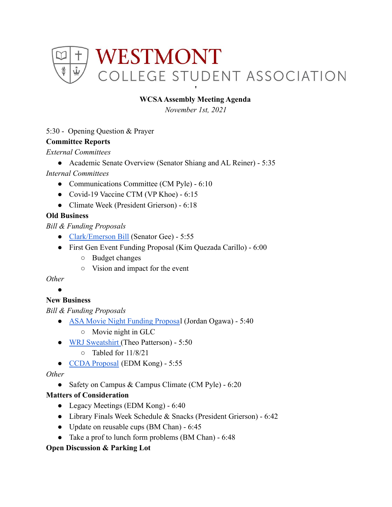

# **WCSAAssembly Meeting Agenda**

*November 1st, 2021*

## 5:30 - Opening Question & Prayer

## **Committee Reports**

*External Committees*

● Academic Senate Overview (Senator Shiang and AL Reiner) - 5:35

## *Internal Committees*

- Communications Committee (CM Pyle) 6:10
- Covid-19 Vaccine CTM (VP Khoe) 6:15
- Climate Week (President Grierson) 6:18

## **Old Business**

*Bill & Funding Proposals*

- [Clark/Emerson Bill](https://docs.google.com/document/d/1pzdk608HBddTt3VUc30597YU2gSERLGz0Rh3-XnTLtw/edit) (Senator Gee) 5:55
- First Gen Event Funding Proposal (Kim Quezada Carillo) 6:00
	- Budget changes
	- Vision and impact for the event

*Other*

#### ●

# **New Business**

*Bill & Funding Proposals*

- [ASA Movie Night Funding Proposa](https://drive.google.com/drive/u/0/folders/1lpBa9euwGHKuq9cLARjDbQxYBe7GiNRT)l (Jordan Ogawa) 5:40
	- Movie night in GLC
- [WRJ Sweatshirt](https://drive.google.com/drive/u/0/folders/1lpBa9euwGHKuq9cLARjDbQxYBe7GiNRT) (Theo Patterson) 5:50
	- Tabled for 11/8/21
- [CCDA Proposal](https://drive.google.com/drive/u/0/folders/1lpBa9euwGHKuq9cLARjDbQxYBe7GiNRT) (EDM Kong) 5:55

*Other*

• Safety on Campus & Campus Climate (CM Pyle) - 6:20

## **Matters of Consideration**

- Legacy Meetings (EDM Kong) 6:40
- Library Finals Week Schedule & Snacks (President Grierson) 6:42
- Update on reusable cups (BM Chan) 6:45
- Take a prof to lunch form problems (BM Chan) 6:48

## **Open Discussion & Parking Lot**